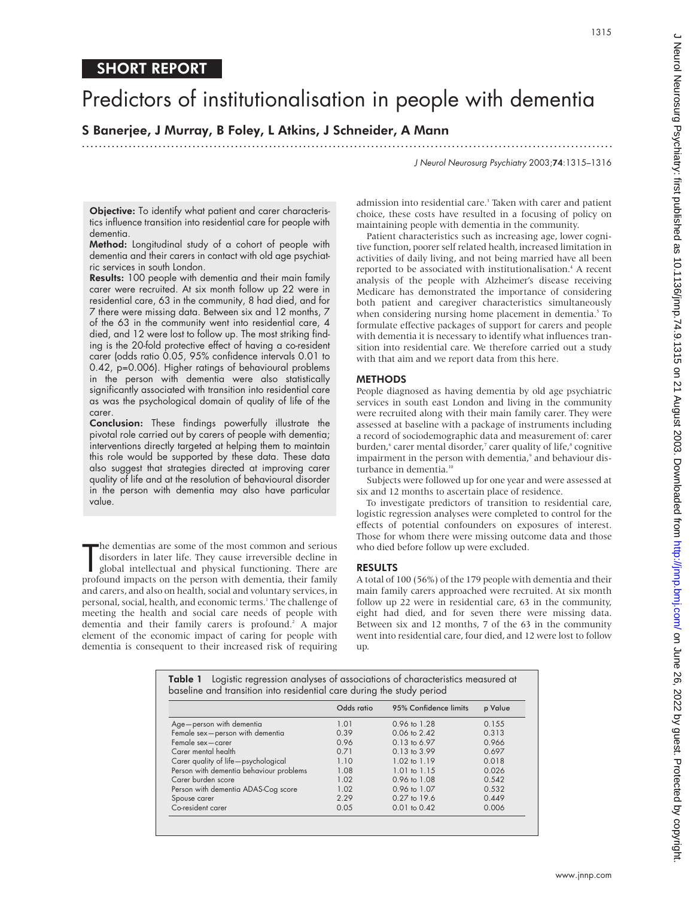# SHORT REPORT

# Predictors of institutionalisation in people with dementia

## S Banerjee, J Murray, B Foley, L Atkins, J Schneider, A Mann

.............................................................................................................................

J Neurol Neurosurg Psychiatry 2003;74:1315–1316

1315

Objective: To identify what patient and carer characteristics influence transition into residential care for people with dementia.

Method: Longitudinal study of a cohort of people with dementia and their carers in contact with old age psychiatric services in south London.

Results: 100 people with dementia and their main family carer were recruited. At six month follow up 22 were in residential care, 63 in the community, 8 had died, and for 7 there were missing data. Between six and 12 months, 7 of the 63 in the community went into residential care, 4 died, and 12 were lost to follow up. The most striking finding is the 20-fold protective effect of having a co-resident carer (odds ratio 0.05, 95% confidence intervals 0.01 to 0.42, p=0.006). Higher ratings of behavioural problems in the person with dementia were also statistically significantly associated with transition into residential care as was the psychological domain of quality of life of the carer.

Conclusion: These findings powerfully illustrate the pivotal role carried out by carers of people with dementia; interventions directly targeted at helping them to maintain this role would be supported by these data. These data also suggest that strategies directed at improving carer quality of life and at the resolution of behavioural disorder in the person with dementia may also have particular value.

The dementias are some of the most common and serious<br>disorders in later life. They cause irreversible decline in<br>global intellectual and physical functioning. There are<br>profound impacts on the person with dementia, their he dementias are some of the most common and serious disorders in later life. They cause irreversible decline in global intellectual and physical functioning. There are and carers, and also on health, social and voluntary services, in personal, social, health, and economic terms.<sup>1</sup> The challenge of meeting the health and social care needs of people with dementia and their family carers is profound.<sup>2</sup> A major element of the economic impact of caring for people with dementia is consequent to their increased risk of requiring

admission into residential care.<sup>3</sup> Taken with carer and patient choice, these costs have resulted in a focusing of policy on maintaining people with dementia in the community.

Patient characteristics such as increasing age, lower cognitive function, poorer self related health, increased limitation in activities of daily living, and not being married have all been reported to be associated with institutionalisation.<sup>4</sup> A recent analysis of the people with Alzheimer's disease receiving Medicare has demonstrated the importance of considering both patient and caregiver characteristics simultaneously when considering nursing home placement in dementia.<sup>5</sup> To formulate effective packages of support for carers and people with dementia it is necessary to identify what influences transition into residential care. We therefore carried out a study with that aim and we report data from this here.

#### METHODS

People diagnosed as having dementia by old age psychiatric services in south east London and living in the community were recruited along with their main family carer. They were assessed at baseline with a package of instruments including a record of sociodemographic data and measurement of: carer burden,<sup>6</sup> carer mental disorder,<sup>7</sup> carer quality of life,<sup>8</sup> cognitive impairment in the person with dementia,<sup>9</sup> and behaviour disturbance in dementia.<sup>10</sup>

Subjects were followed up for one year and were assessed at six and 12 months to ascertain place of residence.

To investigate predictors of transition to residential care, logistic regression analyses were completed to control for the effects of potential confounders on exposures of interest. Those for whom there were missing outcome data and those who died before follow up were excluded.

#### RESULTS

A total of 100 (56%) of the 179 people with dementia and their main family carers approached were recruited. At six month follow up 22 were in residential care, 63 in the community, eight had died, and for seven there were missing data. Between six and 12 months, 7 of the 63 in the community went into residential care, four died, and 12 were lost to follow up.

|                                         | Odds ratio | 95% Confidence limits   | p Value |
|-----------------------------------------|------------|-------------------------|---------|
| Age-person with dementia                | 1.01       | 0.96 to 1.28            | 0.155   |
| Female sex-person with dementia         | 0.39       | $0.06 \text{ to } 2.42$ | 0.313   |
| Female sex-carer                        | 0.96       | $0.13$ to 6.97          | 0.966   |
| Carer mental health                     | 0.71       | $0.13$ to $3.99$        | 0.697   |
| Carer quality of life-psychological     | 1.10       | 1.02 to 1.19            | 0.018   |
| Person with dementia behaviour problems | 1.08       | $1.01$ to $1.15$        | 0.026   |
| Carer burden score                      | 1.02       | $0.96 \text{ to } 1.08$ | 0.542   |
| Person with dementia ADAS-Cog score     | 1.02       | 0.96 to 1.07            | 0.532   |
| Spouse carer                            | 2.29       | $0.27$ to 19.6          | 0.449   |
| Co-resident carer                       | 0.05       | $0.01$ to $0.42$        | 0.006   |